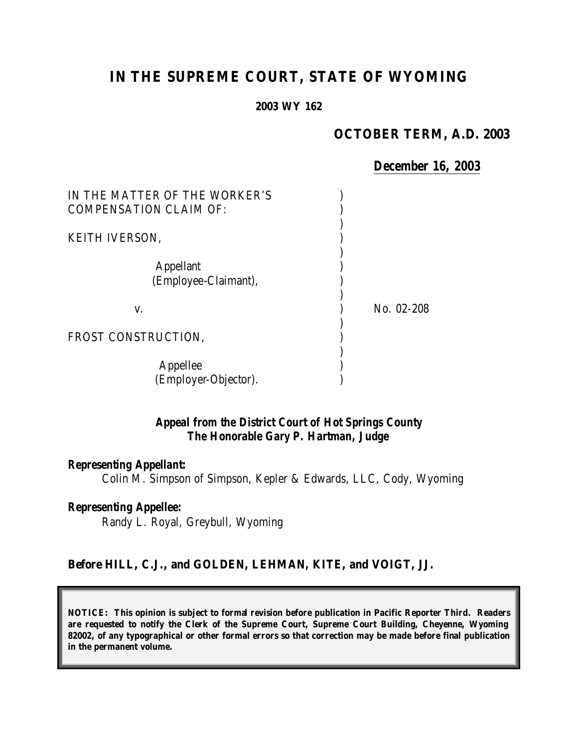# **IN THE SUPREME COURT, STATE OF WYOMING**

**2003 WY 162**

#### **OCTOBER TERM, A.D. 2003**

#### *December 16, 2003*

| IN THE MATTER OF THE WORKER'S<br><b>COMPENSATION CLAIM OF:</b> |            |
|----------------------------------------------------------------|------------|
| <b>KEITH IVERSON,</b>                                          |            |
| <b>Appellant</b><br>(Employee-Claimant),                       |            |
| V.                                                             | No. 02-208 |
| FROST CONSTRUCTION.                                            |            |
| Appellee<br>(Employer-Objector).                               |            |

## *Appeal from the District Court of Hot Springs County The Honorable Gary P. Hartman, Judge*

#### *Representing Appellant:*

Colin M. Simpson of Simpson, Kepler & Edwards, LLC, Cody, Wyoming

#### *Representing Appellee:*

Randy L. Royal, Greybull, Wyoming

#### **Before HILL, C.J., and GOLDEN, LEHMAN, KITE, and VOIGT, JJ.**

**NOTICE: This opinion is subject to formal revision before publication in Pacific Reporter Third. Readers are requested to notify the Clerk of the Supreme Court, Supreme Court Building, Cheyenne, Wyoming 82002, of any typographical or other formal errors so that correction may be made before final publication in the permanent volume.**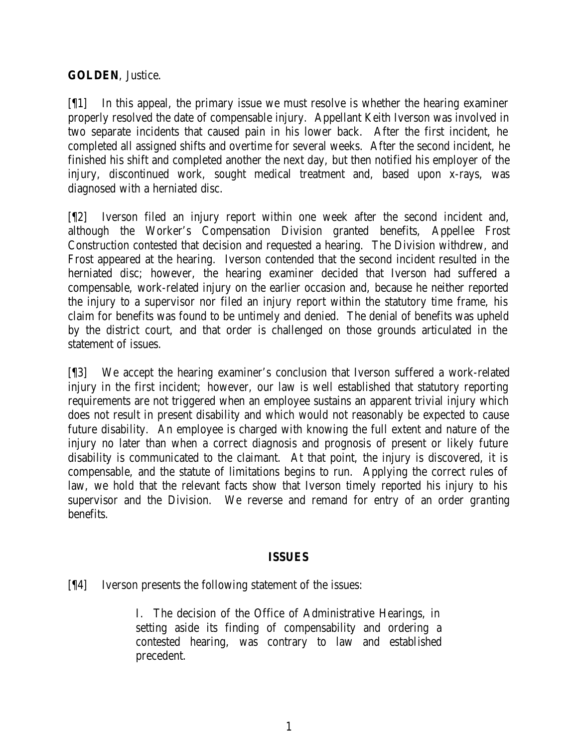## **GOLDEN**, Justice.

[¶1] In this appeal, the primary issue we must resolve is whether the hearing examiner properly resolved the date of compensable injury. Appellant Keith Iverson was involved in two separate incidents that caused pain in his lower back. After the first incident, he completed all assigned shifts and overtime for several weeks. After the second incident, he finished his shift and completed another the next day, but then notified his employer of the injury, discontinued work, sought medical treatment and, based upon x-rays, was diagnosed with a herniated disc.

[¶2] Iverson filed an injury report within one week after the second incident and, although the Worker's Compensation Division granted benefits, Appellee Frost Construction contested that decision and requested a hearing. The Division withdrew, and Frost appeared at the hearing. Iverson contended that the second incident resulted in the herniated disc; however, the hearing examiner decided that Iverson had suffered a compensable, work-related injury on the earlier occasion and, because he neither reported the injury to a supervisor nor filed an injury report within the statutory time frame, his claim for benefits was found to be untimely and denied. The denial of benefits was upheld by the district court, and that order is challenged on those grounds articulated in the statement of issues.

[¶3] We accept the hearing examiner's conclusion that Iverson suffered a work-related injury in the first incident; however, our law is well established that statutory reporting requirements are not triggered when an employee sustains an apparent trivial injury which does not result in present disability and which would not reasonably be expected to cause future disability. An employee is charged with knowing the full extent and nature of the injury no later than when a correct diagnosis and prognosis of present or likely future disability is communicated to the claimant. At that point, the injury is discovered, it is compensable, and the statute of limitations begins to run. Applying the correct rules of law, we hold that the relevant facts show that Iverson timely reported his injury to his supervisor and the Division. We reverse and remand for entry of an order granting benefits.

#### **ISSUES**

[¶4] Iverson presents the following statement of the issues:

I. The decision of the Office of Administrative Hearings, in setting aside its finding of compensability and ordering a contested hearing, was contrary to law and established precedent.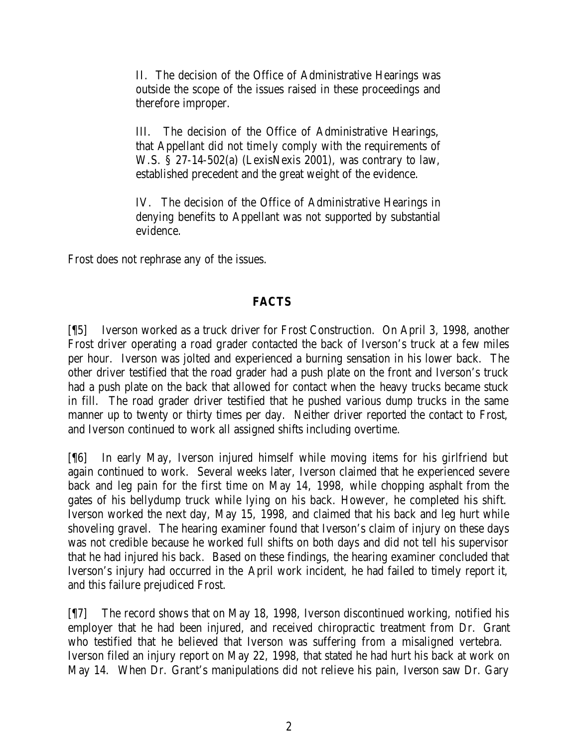II. The decision of the Office of Administrative Hearings was outside the scope of the issues raised in these proceedings and therefore improper.

III. The decision of the Office of Administrative Hearings, that Appellant did not timely comply with the requirements of W.S. § 27-14-502(a) (LexisNexis 2001), was contrary to law, established precedent and the great weight of the evidence.

IV. The decision of the Office of Administrative Hearings in denying benefits to Appellant was not supported by substantial evidence.

Frost does not rephrase any of the issues.

# **FACTS**

[¶5] Iverson worked as a truck driver for Frost Construction. On April 3, 1998, another Frost driver operating a road grader contacted the back of Iverson's truck at a few miles per hour. Iverson was jolted and experienced a burning sensation in his lower back. The other driver testified that the road grader had a push plate on the front and Iverson's truck had a push plate on the back that allowed for contact when the heavy trucks became stuck in fill. The road grader driver testified that he pushed various dump trucks in the same manner up to twenty or thirty times per day. Neither driver reported the contact to Frost, and Iverson continued to work all assigned shifts including overtime.

[¶6] In early May, Iverson injured himself while moving items for his girlfriend but again continued to work. Several weeks later, Iverson claimed that he experienced severe back and leg pain for the first time on May 14, 1998, while chopping asphalt from the gates of his bellydump truck while lying on his back. However, he completed his shift. Iverson worked the next day, May 15, 1998, and claimed that his back and leg hurt while shoveling gravel. The hearing examiner found that Iverson's claim of injury on these days was not credible because he worked full shifts on both days and did not tell his supervisor that he had injured his back. Based on these findings, the hearing examiner concluded that Iverson's injury had occurred in the April work incident, he had failed to timely report it, and this failure prejudiced Frost.

[¶7] The record shows that on May 18, 1998, Iverson discontinued working, notified his employer that he had been injured, and received chiropractic treatment from Dr. Grant who testified that he believed that Iverson was suffering from a misaligned vertebra. Iverson filed an injury report on May 22, 1998, that stated he had hurt his back at work on May 14. When Dr. Grant's manipulations did not relieve his pain, Iverson saw Dr. Gary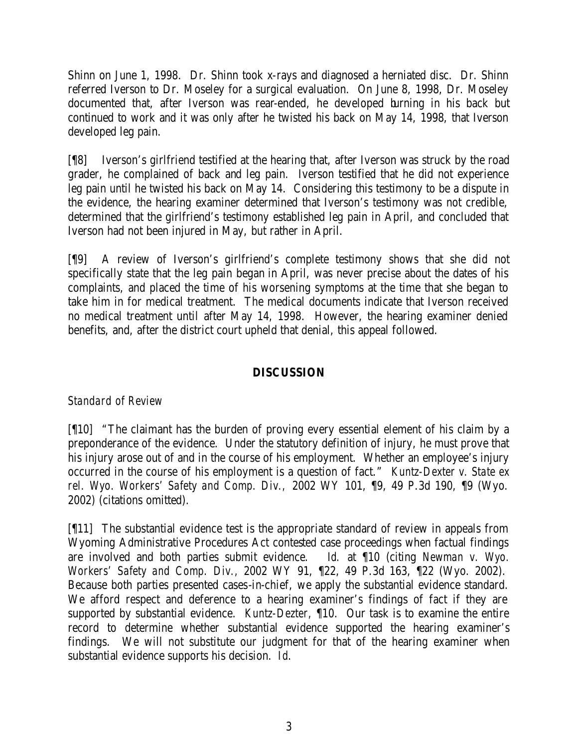Shinn on June 1, 1998. Dr. Shinn took x-rays and diagnosed a herniated disc. Dr. Shinn referred Iverson to Dr. Moseley for a surgical evaluation. On June 8, 1998, Dr. Moseley documented that, after Iverson was rear-ended, he developed burning in his back but continued to work and it was only after he twisted his back on May 14, 1998, that Iverson developed leg pain.

[¶8] Iverson's girlfriend testified at the hearing that, after Iverson was struck by the road grader, he complained of back and leg pain. Iverson testified that he did not experience leg pain until he twisted his back on May 14. Considering this testimony to be a dispute in the evidence, the hearing examiner determined that Iverson's testimony was not credible, determined that the girlfriend's testimony established leg pain in April, and concluded that Iverson had not been injured in May, but rather in April.

[¶9] A review of Iverson's girlfriend's complete testimony shows that she did not specifically state that the leg pain began in April, was never precise about the dates of his complaints, and placed the time of his worsening symptoms at the time that she began to take him in for medical treatment. The medical documents indicate that Iverson received no medical treatment until after May 14, 1998. However, the hearing examiner denied benefits, and, after the district court upheld that denial, this appeal followed.

## **DISCUSSION**

# *Standard of Review*

[¶10] "The claimant has the burden of proving every essential element of his claim by a preponderance of the evidence. Under the statutory definition of injury, he must prove that his injury arose out of and in the course of his employment. Whether an employee's injury occurred in the course of his employment is a question of fact." *Kuntz-Dexter v. State ex rel. Wyo. Workers' Safety and Comp. Div.,* 2002 WY 101, ¶9, 49 P.3d 190, ¶9 (Wyo. 2002) (citations omitted).

[¶11] The substantial evidence test is the appropriate standard of review in appeals from Wyoming Administrative Procedures Act contested case proceedings when factual findings are involved and both parties submit evidence. *Id.* at ¶10 (citing *Newman v. Wyo. Workers' Safety and Comp. Div.,* 2002 WY 91, ¶22, 49 P.3d 163, ¶22 (Wyo. 2002). Because both parties presented cases-in-chief, we apply the substantial evidence standard. We afford respect and deference to a hearing examiner's findings of fact if they are supported by substantial evidence. *Kuntz-Dezter,* ¶10. Our task is to examine the entire record to determine whether substantial evidence supported the hearing examiner's findings. We will not substitute our judgment for that of the hearing examiner when substantial evidence supports his decision. *Id*.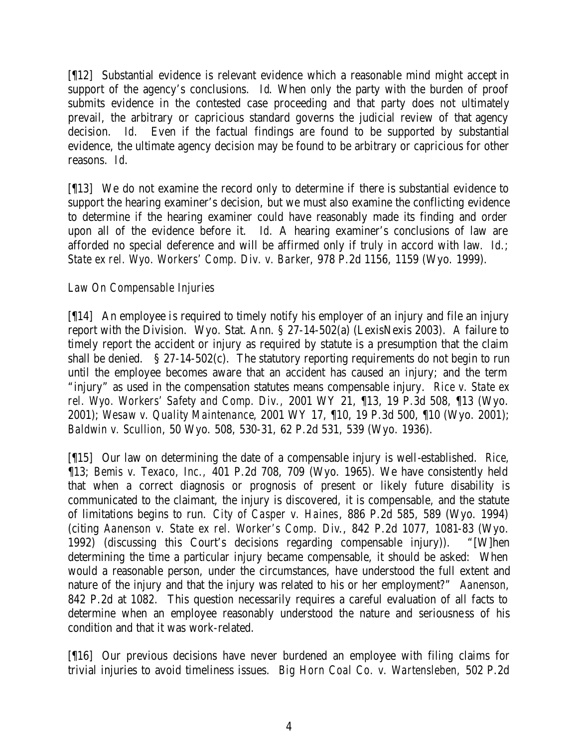[¶12] Substantial evidence is relevant evidence which a reasonable mind might accept in support of the agency's conclusions. *Id*. When only the party with the burden of proof submits evidence in the contested case proceeding and that party does not ultimately prevail, the arbitrary or capricious standard governs the judicial review of that agency decision. *Id.* Even if the factual findings are found to be supported by substantial evidence, the ultimate agency decision may be found to be arbitrary or capricious for other reasons. *Id*.

[¶13] We do not examine the record only to determine if there is substantial evidence to support the hearing examiner's decision, but we must also examine the conflicting evidence to determine if the hearing examiner could have reasonably made its finding and order upon all of the evidence before it. *Id.* A hearing examiner's conclusions of law are afforded no special deference and will be affirmed only if truly in accord with law*. Id.; State ex rel. Wyo. Workers' Comp. Div. v. Barker*, 978 P.2d 1156, 1159 (Wyo. 1999).

# *Law On Compensable Injuries*

[¶14] An employee is required to timely notify his employer of an injury and file an injury report with the Division. Wyo. Stat. Ann. § 27-14-502(a) (LexisNexis 2003). A failure to timely report the accident or injury as required by statute is a presumption that the claim shall be denied. § 27-14-502(c). The statutory reporting requirements do not begin to run until the employee becomes aware that an accident has caused an injury; and the term "injury" as used in the compensation statutes means compensable injury. *Rice v. State ex rel. Wyo. Workers' Safety and Comp. Div.,* 2001 WY 21, ¶13, 19 P.3d 508, ¶13 (Wyo. 2001); *Wesaw v. Quality Maintenance*, 2001 WY 17, ¶10, 19 P.3d 500, ¶10 (Wyo. 2001); *Baldwin v. Scullion*, 50 Wyo. 508, 530-31, 62 P.2d 531, 539 (Wyo. 1936).

[¶15] Our law on determining the date of a compensable injury is well-established. *Rice,*  ¶13; *Bemis v. Texaco, Inc.,* 401 P.2d 708, 709 (Wyo. 1965). We have consistently held that when a correct diagnosis or prognosis of present or likely future disability is communicated to the claimant, the injury is discovered, it is compensable, and the statute of limitations begins to run. *City of Casper v. Haines*, 886 P.2d 585, 589 (Wyo. 1994) (citing *Aanenson v. State ex rel. Worker's Comp. Div*., 842 P.2d 1077, 1081-83 (Wyo. 1992) (discussing this Court's decisions regarding compensable injury)). "[W]hen determining the time a particular injury became compensable, it should be asked: When would a reasonable person, under the circumstances, have understood the full extent and nature of the injury and that the injury was related to his or her employment?" *Aanenson,*  842 P.2d at 1082. This question necessarily requires a careful evaluation of all facts to determine when an employee reasonably understood the nature and seriousness of his condition and that it was work-related.

[¶16] Our previous decisions have never burdened an employee with filing claims for trivial injuries to avoid timeliness issues. *Big Horn Coal Co. v. Wartensleben,* 502 P.2d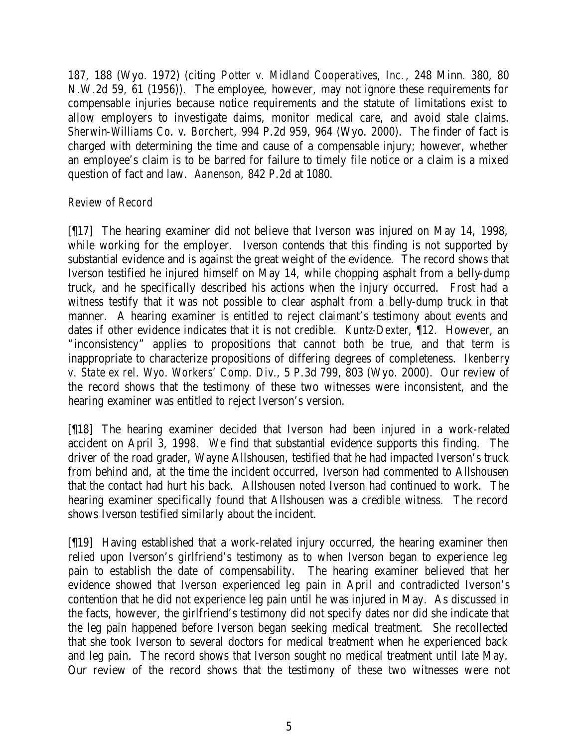187, 188 (Wyo. 1972) (citing *Potter v. Midland Cooperatives, Inc.*, 248 Minn. 380, 80 N.W.2d 59, 61 (1956)). The employee, however, may not ignore these requirements for compensable injuries because notice requirements and the statute of limitations exist to allow employers to investigate daims, monitor medical care, and avoid stale claims. *Sherwin-Williams Co. v. Borchert*, 994 P.2d 959, 964 (Wyo. 2000). The finder of fact is charged with determining the time and cause of a compensable injury; however, whether an employee's claim is to be barred for failure to timely file notice or a claim is a mixed question of fact and law. *Aanenson*, 842 P.2d at 1080.

# *Review of Record*

[¶17] The hearing examiner did not believe that Iverson was injured on May 14, 1998, while working for the employer. Iverson contends that this finding is not supported by substantial evidence and is against the great weight of the evidence. The record shows that Iverson testified he injured himself on May 14, while chopping asphalt from a belly-dump truck, and he specifically described his actions when the injury occurred. Frost had a witness testify that it was not possible to clear asphalt from a belly-dump truck in that manner. A hearing examiner is entitled to reject claimant's testimony about events and dates if other evidence indicates that it is not credible. *Kuntz-Dexter*, ¶12. However, an "inconsistency" applies to propositions that cannot both be true, and that term is inappropriate to characterize propositions of differing degrees of completeness. *Ikenberry v. State ex rel. Wyo. Workers' Comp. Div.*, 5 P.3d 799, 803 (Wyo. 2000). Our review of the record shows that the testimony of these two witnesses were inconsistent, and the hearing examiner was entitled to reject Iverson's version.

[¶18] The hearing examiner decided that Iverson had been injured in a work-related accident on April 3, 1998. We find that substantial evidence supports this finding. The driver of the road grader, Wayne Allshousen, testified that he had impacted Iverson's truck from behind and, at the time the incident occurred, Iverson had commented to Allshousen that the contact had hurt his back. Allshousen noted Iverson had continued to work. The hearing examiner specifically found that Allshousen was a credible witness. The record shows Iverson testified similarly about the incident.

[¶19] Having established that a work-related injury occurred, the hearing examiner then relied upon Iverson's girlfriend's testimony as to when Iverson began to experience leg pain to establish the date of compensability. The hearing examiner believed that her evidence showed that Iverson experienced leg pain in April and contradicted Iverson's contention that he did not experience leg pain until he was injured in May. As discussed in the facts, however, the girlfriend's testimony did not specify dates nor did she indicate that the leg pain happened before Iverson began seeking medical treatment. She recollected that she took Iverson to several doctors for medical treatment when he experienced back and leg pain. The record shows that Iverson sought no medical treatment until late May. Our review of the record shows that the testimony of these two witnesses were not